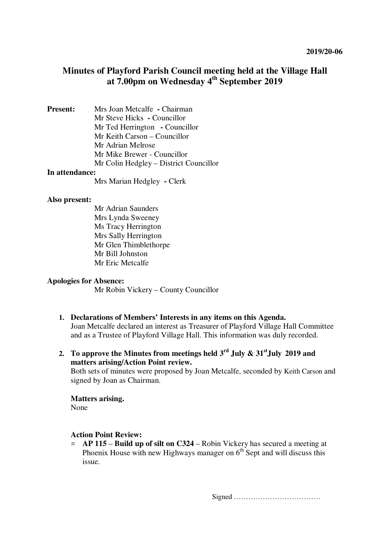# **Minutes of Playford Parish Council meeting held at the Village Hall at 7.00pm on Wednesday 4th September 2019**

**Present:** Mrs Joan Metcalfe **-** Chairman Mr Steve Hicks **-** Councillor Mr Ted Herrington **-** Councillor Mr Keith Carson – Councillor Mr Adrian Melrose Mr Mike Brewer - Councillor Mr Colin Hedgley – District Councillor **In attendance:** 

Mrs Marian Hedgley **-** Clerk

#### **Also present:**

Mr Adrian Saunders Mrs Lynda Sweeney Ms Tracy Herrington Mrs Sally Herrington Mr Glen Thimblethorpe Mr Bill Johnston Mr Eric Metcalfe

#### **Apologies for Absence:**

Mr Robin Vickery – County Councillor

- **1. Declarations of Members' Interests in any items on this Agenda.**  Joan Metcalfe declared an interest as Treasurer of Playford Village Hall Committee and as a Trustee of Playford Village Hall. This information was duly recorded.
- **2. To approve the Minutes from meetings held 3rd July & 31stJuly 2019 and matters arising/Action Point review.**

Both sets of minutes were proposed by Joan Metcalfe, seconded by Keith Carson and signed by Joan as Chairman.

#### **Matters arising.**

None

## **Action Point Review:**

¤ **AP 115** – **Build up of silt on C324** – Robin Vickery has secured a meeting at Phoenix House with new Highways manager on  $6<sup>th</sup>$  Sept and will discuss this issue.

Signed ………………………………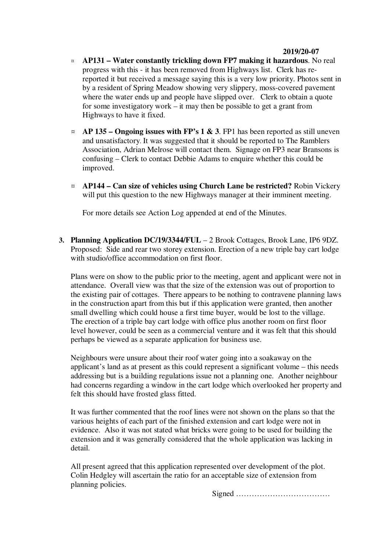#### **2019/20-07**

- ¤ **AP131 – Water constantly trickling down FP7 making it hazardous**. No real progress with this - it has been removed from Highways list. Clerk has rereported it but received a message saying this is a very low priority. Photos sent in by a resident of Spring Meadow showing very slippery, moss-covered pavement where the water ends up and people have slipped over. Clerk to obtain a quote for some investigatory work – it may then be possible to get a grant from Highways to have it fixed.
- $\alpha$  **AP 135 Ongoing issues with FP's 1 & 3**. FP1 has been reported as still uneven and unsatisfactory. It was suggested that it should be reported to The Ramblers Association, Adrian Melrose will contact them. Signage on FP3 near Bransons is confusing – Clerk to contact Debbie Adams to enquire whether this could be improved.
- ¤ **AP144 Can size of vehicles using Church Lane be restricted?** Robin Vickery will put this question to the new Highways manager at their imminent meeting.

For more details see Action Log appended at end of the Minutes.

**3. Planning Application DC/19/3344/FUL** – 2 Brook Cottages, Brook Lane, IP6 9DZ. Proposed: Side and rear two storey extension. Erection of a new triple bay cart lodge with studio/office accommodation on first floor.

Plans were on show to the public prior to the meeting, agent and applicant were not in attendance. Overall view was that the size of the extension was out of proportion to the existing pair of cottages. There appears to be nothing to contravene planning laws in the construction apart from this but if this application were granted, then another small dwelling which could house a first time buyer, would be lost to the village. The erection of a triple bay cart lodge with office plus another room on first floor level however, could be seen as a commercial venture and it was felt that this should perhaps be viewed as a separate application for business use.

Neighbours were unsure about their roof water going into a soakaway on the applicant's land as at present as this could represent a significant volume – this needs addressing but is a building regulations issue not a planning one. Another neighbour had concerns regarding a window in the cart lodge which overlooked her property and felt this should have frosted glass fitted.

It was further commented that the roof lines were not shown on the plans so that the various heights of each part of the finished extension and cart lodge were not in evidence. Also it was not stated what bricks were going to be used for building the extension and it was generally considered that the whole application was lacking in detail.

All present agreed that this application represented over development of the plot. Colin Hedgley will ascertain the ratio for an acceptable size of extension from planning policies.

Signed ………………………………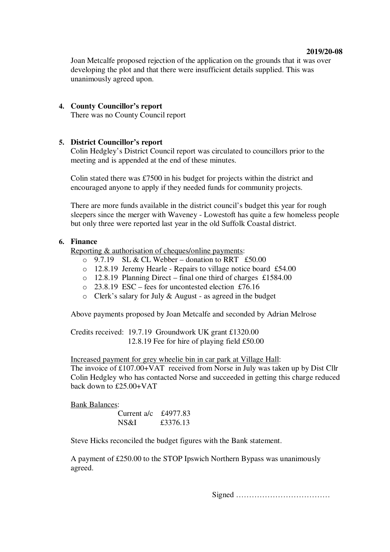#### **2019/20-08**

Joan Metcalfe proposed rejection of the application on the grounds that it was over developing the plot and that there were insufficient details supplied. This was unanimously agreed upon.

#### **4. County Councillor's report**

There was no County Council report

## **5. District Councillor's report**

Colin Hedgley's District Council report was circulated to councillors prior to the meeting and is appended at the end of these minutes.

Colin stated there was £7500 in his budget for projects within the district and encouraged anyone to apply if they needed funds for community projects.

There are more funds available in the district council's budget this year for rough sleepers since the merger with Waveney - Lowestoft has quite a few homeless people but only three were reported last year in the old Suffolk Coastal district.

## **6. Finance**

Reporting & authorisation of cheques/online payments:

- $\degree$  9.7.19 SL & CL Webber donation to RRT £50.00
- o 12.8.19 Jeremy Hearle Repairs to village notice board £54.00
- $\circ$  12.8.19 Planning Direct final one third of charges £1584.00
- o 23.8.19 ESC fees for uncontested election £76.16
- o Clerk's salary for July & August as agreed in the budget

Above payments proposed by Joan Metcalfe and seconded by Adrian Melrose

Credits received: 19.7.19 Groundwork UK grant £1320.00 12.8.19 Fee for hire of playing field £50.00

 Increased payment for grey wheelie bin in car park at Village Hall: The invoice of £107.00+VAT received from Norse in July was taken up by Dist Cllr Colin Hedgley who has contacted Norse and succeeded in getting this charge reduced back down to £25.00+VAT

Bank Balances:

| Current $a/c$ | £4977.83 |
|---------------|----------|
| NS&I          | £3376.13 |

Steve Hicks reconciled the budget figures with the Bank statement.

A payment of £250.00 to the STOP Ipswich Northern Bypass was unanimously agreed.

Signed ………………………………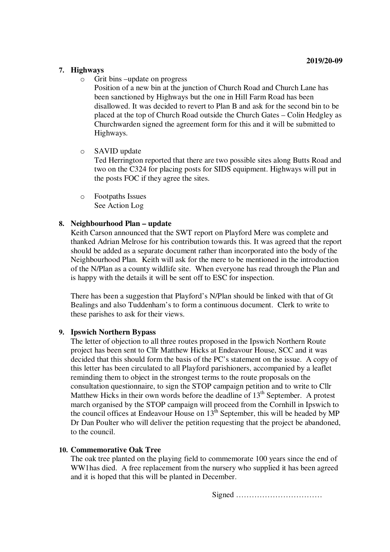## **7. Highways**

o Grit bins –update on progress

Position of a new bin at the junction of Church Road and Church Lane has been sanctioned by Highways but the one in Hill Farm Road has been disallowed. It was decided to revert to Plan B and ask for the second bin to be placed at the top of Church Road outside the Church Gates – Colin Hedgley as Churchwarden signed the agreement form for this and it will be submitted to Highways.

o SAVID update

Ted Herrington reported that there are two possible sites along Butts Road and two on the C324 for placing posts for SIDS equipment. Highways will put in the posts FOC if they agree the sites.

o Footpaths Issues See Action Log

#### **8. Neighbourhood Plan – update**

Keith Carson announced that the SWT report on Playford Mere was complete and thanked Adrian Melrose for his contribution towards this. It was agreed that the report should be added as a separate document rather than incorporated into the body of the Neighbourhood Plan. Keith will ask for the mere to be mentioned in the introduction of the N/Plan as a county wildlife site. When everyone has read through the Plan and is happy with the details it will be sent off to ESC for inspection.

There has been a suggestion that Playford's N/Plan should be linked with that of Gt Bealings and also Tuddenham's to form a continuous document. Clerk to write to these parishes to ask for their views.

#### **9. Ipswich Northern Bypass**

The letter of objection to all three routes proposed in the Ipswich Northern Route project has been sent to Cllr Matthew Hicks at Endeavour House, SCC and it was decided that this should form the basis of the PC's statement on the issue. A copy of this letter has been circulated to all Playford parishioners, accompanied by a leaflet reminding them to object in the strongest terms to the route proposals on the consultation questionnaire, to sign the STOP campaign petition and to write to Cllr Matthew Hicks in their own words before the deadline of  $13<sup>th</sup>$  September. A protest march organised by the STOP campaign will proceed from the Cornhill in Ipswich to the council offices at Endeavour House on  $13<sup>th</sup>$  September, this will be headed by MP Dr Dan Poulter who will deliver the petition requesting that the project be abandoned, to the council.

## **10. Commemorative Oak Tree**

The oak tree planted on the playing field to commemorate 100 years since the end of WW1has died. A free replacement from the nursery who supplied it has been agreed and it is hoped that this will be planted in December.

Signed ……………………………